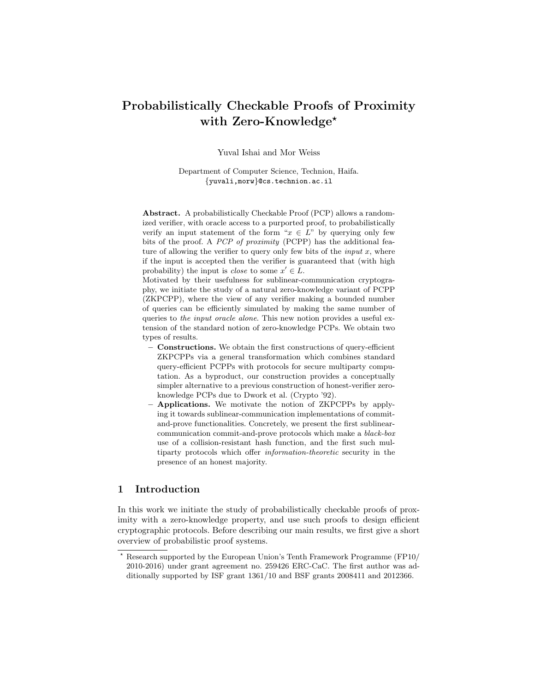# Probabilistically Checkable Proofs of Proximity with Zero-Knowledge<sup> $\star$ </sup>

Yuval Ishai and Mor Weiss

Department of Computer Science, Technion, Haifa. {yuvali,morw}@cs.technion.ac.il

Abstract. A probabilistically Checkable Proof (PCP) allows a randomized verifier, with oracle access to a purported proof, to probabilistically verify an input statement of the form " $x \in L$ " by querying only few bits of the proof. A PCP of proximity (PCPP) has the additional feature of allowing the verifier to query only few bits of the *input x*, where if the input is accepted then the verifier is guaranteed that (with high probability) the input is *close* to some  $x' \in L$ .

Motivated by their usefulness for sublinear-communication cryptography, we initiate the study of a natural zero-knowledge variant of PCPP (ZKPCPP), where the view of any verifier making a bounded number of queries can be efficiently simulated by making the same number of queries to the input oracle alone. This new notion provides a useful extension of the standard notion of zero-knowledge PCPs. We obtain two types of results.

- Constructions. We obtain the first constructions of query-efficient ZKPCPPs via a general transformation which combines standard query-efficient PCPPs with protocols for secure multiparty computation. As a byproduct, our construction provides a conceptually simpler alternative to a previous construction of honest-verifier zeroknowledge PCPs due to Dwork et al. (Crypto '92).
- Applications. We motivate the notion of ZKPCPPs by applying it towards sublinear-communication implementations of commitand-prove functionalities. Concretely, we present the first sublinearcommunication commit-and-prove protocols which make a black-box use of a collision-resistant hash function, and the first such multiparty protocols which offer information-theoretic security in the presence of an honest majority.

# 1 Introduction

In this work we initiate the study of probabilistically checkable proofs of proximity with a zero-knowledge property, and use such proofs to design efficient cryptographic protocols. Before describing our main results, we first give a short overview of probabilistic proof systems.

Research supported by the European Union's Tenth Framework Programme (FP10/ 2010-2016) under grant agreement no. 259426 ERC-CaC. The first author was additionally supported by ISF grant 1361/10 and BSF grants 2008411 and 2012366.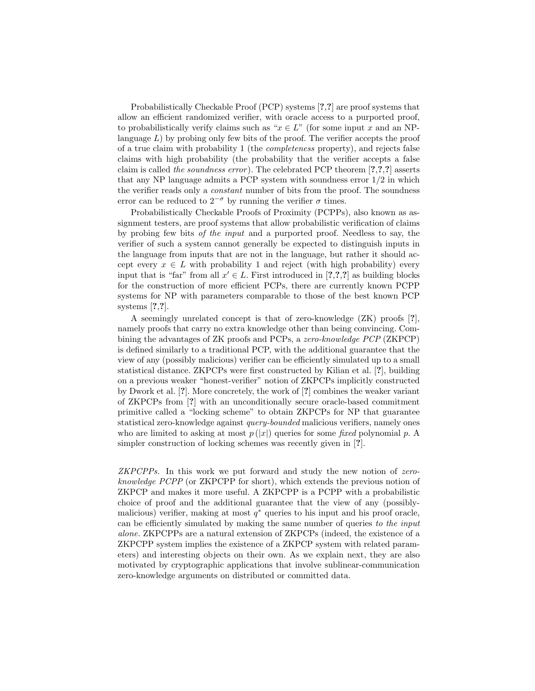Probabilistically Checkable Proof (PCP) systems [?,?] are proof systems that allow an efficient randomized verifier, with oracle access to a purported proof, to probabilistically verify claims such as " $x \in L$ " (for some input x and an NPlanguage  $L$ ) by probing only few bits of the proof. The verifier accepts the proof of a true claim with probability 1 (the completeness property), and rejects false claims with high probability (the probability that the verifier accepts a false claim is called the soundness error). The celebrated PCP theorem  $[?; ?]$  asserts that any NP language admits a PCP system with soundness error  $1/2$  in which the verifier reads only a constant number of bits from the proof. The soundness error can be reduced to  $2^{-\sigma}$  by running the verifier  $\sigma$  times.

Probabilistically Checkable Proofs of Proximity (PCPPs), also known as assignment testers, are proof systems that allow probabilistic verification of claims by probing few bits of the input and a purported proof. Needless to say, the verifier of such a system cannot generally be expected to distinguish inputs in the language from inputs that are not in the language, but rather it should accept every  $x \in L$  with probability 1 and reject (with high probability) every input that is "far" from all  $x' \in L$ . First introduced in [?,?,?] as building blocks for the construction of more efficient PCPs, there are currently known PCPP systems for NP with parameters comparable to those of the best known PCP systems [?,?].

A seemingly unrelated concept is that of zero-knowledge (ZK) proofs [?], namely proofs that carry no extra knowledge other than being convincing. Combining the advantages of ZK proofs and PCPs, a zero-knowledge PCP (ZKPCP) is defined similarly to a traditional PCP, with the additional guarantee that the view of any (possibly malicious) verifier can be efficiently simulated up to a small statistical distance. ZKPCPs were first constructed by Kilian et al. [?], building on a previous weaker "honest-verifier" notion of ZKPCPs implicitly constructed by Dwork et al. [?]. More concretely, the work of [?] combines the weaker variant of ZKPCPs from [?] with an unconditionally secure oracle-based commitment primitive called a "locking scheme" to obtain ZKPCPs for NP that guarantee statistical zero-knowledge against query-bounded malicious verifiers, namely ones who are limited to asking at most  $p(|x|)$  queries for some fixed polynomial p. A simpler construction of locking schemes was recently given in [?].

ZKPCPPs. In this work we put forward and study the new notion of zeroknowledge PCPP (or ZKPCPP for short), which extends the previous notion of ZKPCP and makes it more useful. A ZKPCPP is a PCPP with a probabilistic choice of proof and the additional guarantee that the view of any (possiblymalicious) verifier, making at most  $q^*$  queries to his input and his proof oracle, can be efficiently simulated by making the same number of queries to the input alone. ZKPCPPs are a natural extension of ZKPCPs (indeed, the existence of a ZKPCPP system implies the existence of a ZKPCP system with related parameters) and interesting objects on their own. As we explain next, they are also motivated by cryptographic applications that involve sublinear-communication zero-knowledge arguments on distributed or committed data.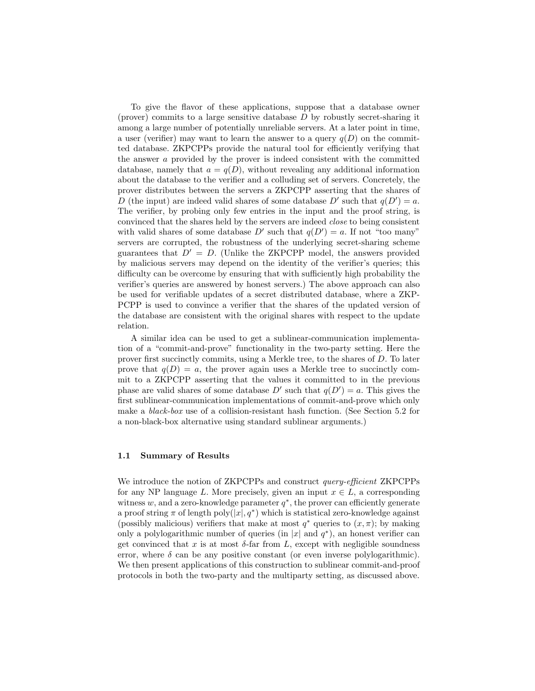To give the flavor of these applications, suppose that a database owner (prover) commits to a large sensitive database  $D$  by robustly secret-sharing it among a large number of potentially unreliable servers. At a later point in time, a user (verifier) may want to learn the answer to a query  $q(D)$  on the committed database. ZKPCPPs provide the natural tool for efficiently verifying that the answer a provided by the prover is indeed consistent with the committed database, namely that  $a = q(D)$ , without revealing any additional information about the database to the verifier and a colluding set of servers. Concretely, the prover distributes between the servers a ZKPCPP asserting that the shares of D (the input) are indeed valid shares of some database  $D'$  such that  $q(D') = a$ . The verifier, by probing only few entries in the input and the proof string, is convinced that the shares held by the servers are indeed close to being consistent with valid shares of some database  $D'$  such that  $q(D') = a$ . If not "too many" servers are corrupted, the robustness of the underlying secret-sharing scheme guarantees that  $D' = D$ . (Unlike the ZKPCPP model, the answers provided by malicious servers may depend on the identity of the verifier's queries; this difficulty can be overcome by ensuring that with sufficiently high probability the verifier's queries are answered by honest servers.) The above approach can also be used for verifiable updates of a secret distributed database, where a ZKP-PCPP is used to convince a verifier that the shares of the updated version of the database are consistent with the original shares with respect to the update relation.

A similar idea can be used to get a sublinear-communication implementation of a "commit-and-prove" functionality in the two-party setting. Here the prover first succinctly commits, using a Merkle tree, to the shares of D. To later prove that  $q(D) = a$ , the prover again uses a Merkle tree to succinctly commit to a ZKPCPP asserting that the values it committed to in the previous phase are valid shares of some database  $D'$  such that  $q(D') = a$ . This gives the first sublinear-communication implementations of commit-and-prove which only make a *black-box* use of a collision-resistant hash function. (See Section 5.2 for a non-black-box alternative using standard sublinear arguments.)

## 1.1 Summary of Results

We introduce the notion of ZKPCPPs and construct *query-efficient* ZKPCPPs for any NP language L. More precisely, given an input  $x \in L$ , a corresponding witness  $w$ , and a zero-knowledge parameter  $q^*$ , the prover can efficiently generate a proof string  $\pi$  of length poly $(|x|, q^*)$  which is statistical zero-knowledge against (possibly malicious) verifiers that make at most  $q^*$  queries to  $(x, \pi)$ ; by making only a polylogarithmic number of queries (in |x| and  $q^*$ ), an honest verifier can get convinced that x is at most  $\delta$ -far from L, except with negligible soundness error, where  $\delta$  can be any positive constant (or even inverse polylogarithmic). We then present applications of this construction to sublinear commit-and-proof protocols in both the two-party and the multiparty setting, as discussed above.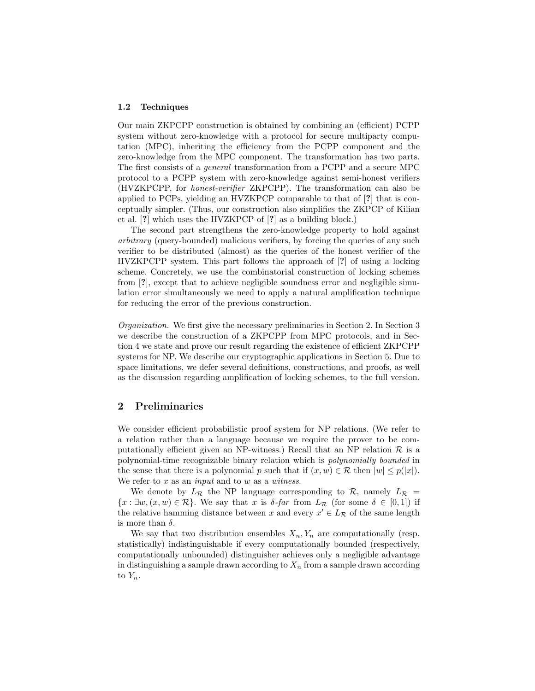#### 1.2 Techniques

Our main ZKPCPP construction is obtained by combining an (efficient) PCPP system without zero-knowledge with a protocol for secure multiparty computation (MPC), inheriting the efficiency from the PCPP component and the zero-knowledge from the MPC component. The transformation has two parts. The first consists of a general transformation from a PCPP and a secure MPC protocol to a PCPP system with zero-knowledge against semi-honest verifiers (HVZKPCPP, for honest-verifier ZKPCPP). The transformation can also be applied to PCPs, yielding an HVZKPCP comparable to that of [?] that is conceptually simpler. (Thus, our construction also simplifies the ZKPCP of Kilian et al. [?] which uses the HVZKPCP of [?] as a building block.)

The second part strengthens the zero-knowledge property to hold against arbitrary (query-bounded) malicious verifiers, by forcing the queries of any such verifier to be distributed (almost) as the queries of the honest verifier of the HVZKPCPP system. This part follows the approach of [?] of using a locking scheme. Concretely, we use the combinatorial construction of locking schemes from [?], except that to achieve negligible soundness error and negligible simulation error simultaneously we need to apply a natural amplification technique for reducing the error of the previous construction.

Organization. We first give the necessary preliminaries in Section 2. In Section 3 we describe the construction of a ZKPCPP from MPC protocols, and in Section 4 we state and prove our result regarding the existence of efficient ZKPCPP systems for NP. We describe our cryptographic applications in Section 5. Due to space limitations, we defer several definitions, constructions, and proofs, as well as the discussion regarding amplification of locking schemes, to the full version.

## 2 Preliminaries

We consider efficient probabilistic proof system for NP relations. (We refer to a relation rather than a language because we require the prover to be computationally efficient given an NP-witness.) Recall that an NP relation  $\mathcal R$  is a polynomial-time recognizable binary relation which is polynomially bounded in the sense that there is a polynomial p such that if  $(x, w) \in \mathcal{R}$  then  $|w| \leq p(|x|)$ . We refer to  $x$  as an *input* and to  $w$  as a *witness*.

We denote by  $L_{\mathcal{R}}$  the NP language corresponding to  $\mathcal{R}$ , namely  $L_{\mathcal{R}}$  =  ${x : \exists w, (x, w) \in \mathcal{R}}$ . We say that x is  $\delta$ -far from  $L_{\mathcal{R}}$  (for some  $\delta \in [0, 1]$ ) if the relative hamming distance between x and every  $x' \in L_{\mathcal{R}}$  of the same length is more than  $\delta$ .

We say that two distribution ensembles  $X_n, Y_n$  are computationally (resp. statistically) indistinguishable if every computationally bounded (respectively, computationally unbounded) distinguisher achieves only a negligible advantage in distinguishing a sample drawn according to  $X_n$  from a sample drawn according to  $Y_n$ .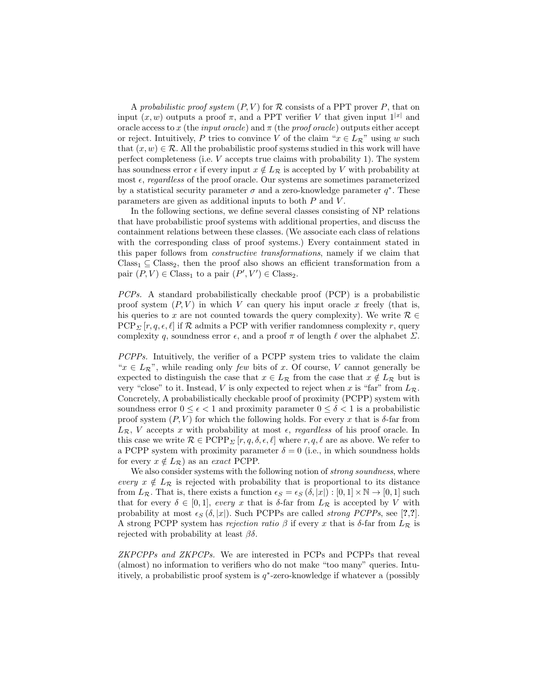A probabilistic proof system  $(P, V)$  for R consists of a PPT prover P, that on input  $(x, w)$  outputs a proof  $\pi$ , and a PPT verifier V that given input  $1^{|x|}$  and oracle access to x (the *input oracle*) and  $\pi$  (the *proof oracle*) outputs either accept or reject. Intuitively, P tries to convince V of the claim " $x \in L_{\mathcal{R}}$ " using w such that  $(x, w) \in \mathcal{R}$ . All the probabilistic proof systems studied in this work will have perfect completeness (i.e. V accepts true claims with probability 1). The system has soundness error  $\epsilon$  if every input  $x \notin L_R$  is accepted by V with probability at most  $\epsilon$ , regardless of the proof oracle. Our systems are sometimes parameterized by a statistical security parameter  $\sigma$  and a zero-knowledge parameter  $q^*$ . These parameters are given as additional inputs to both P and V .

In the following sections, we define several classes consisting of NP relations that have probabilistic proof systems with additional properties, and discuss the containment relations between these classes. (We associate each class of relations with the corresponding class of proof systems.) Every containment stated in this paper follows from constructive transformations, namely if we claim that  $Class_1 \subseteq Class_2$ , then the proof also shows an efficient transformation from a pair  $(P, V) \in \text{Class}_1$  to a pair  $(P', V') \in \text{Class}_2$ .

PCPs. A standard probabilistically checkable proof (PCP) is a probabilistic proof system  $(P, V)$  in which V can query his input oracle x freely (that is, his queries to x are not counted towards the query complexity). We write  $\mathcal{R} \in$  $PCP_{\Sigma}[r, q, \epsilon, \ell]$  if  $\mathcal R$  admits a PCP with verifier randomness complexity r, query complexity q, soundness error  $\epsilon$ , and a proof  $\pi$  of length  $\ell$  over the alphabet  $\Sigma$ .

PCPPs. Intuitively, the verifier of a PCPP system tries to validate the claim " $x \in L_{\mathcal{R}}$ ", while reading only few bits of x. Of course, V cannot generally be expected to distinguish the case that  $x \in L_{\mathcal{R}}$  from the case that  $x \notin L_{\mathcal{R}}$  but is very "close" to it. Instead, V is only expected to reject when x is "far" from  $L_{\mathcal{R}}$ . Concretely, A probabilistically checkable proof of proximity (PCPP) system with soundness error  $0 \leq \epsilon < 1$  and proximity parameter  $0 \leq \delta < 1$  is a probabilistic proof system  $(P, V)$  for which the following holds. For every x that is  $\delta$ -far from  $L_{\mathcal{R}}$ , V accepts x with probability at most  $\epsilon$ , regardless of his proof oracle. In this case we write  $\mathcal{R} \in \text{PCPP}_\Sigma [r, q, \delta, \epsilon, \ell]$  where  $r, q, \ell$  are as above. We refer to a PCPP system with proximity parameter  $\delta = 0$  (i.e., in which soundness holds for every  $x \notin L_{\mathcal{R}}$  as an exact PCPP.

We also consider systems with the following notion of *strong soundness*, where every  $x \notin L_{\mathcal{R}}$  is rejected with probability that is proportional to its distance from  $L_{\mathcal{R}}$ . That is, there exists a function  $\epsilon_S = \epsilon_S (\delta, |x|) : [0, 1] \times \mathbb{N} \to [0, 1]$  such that for every  $\delta \in [0,1]$ , every x that is  $\delta$ -far from  $L_{\mathcal{R}}$  is accepted by V with probability at most  $\epsilon_S(\delta, |x|)$ . Such PCPPs are called *strong PCPPs*, see [?,?]. A strong PCPP system has rejection ratio  $\beta$  if every x that is δ-far from  $L_{\mathcal{R}}$  is rejected with probability at least  $\beta\delta$ .

ZKPCPPs and ZKPCPs. We are interested in PCPs and PCPPs that reveal (almost) no information to verifiers who do not make "too many" queries. Intuitively, a probabilistic proof system is  $q^*$ -zero-knowledge if whatever a (possibly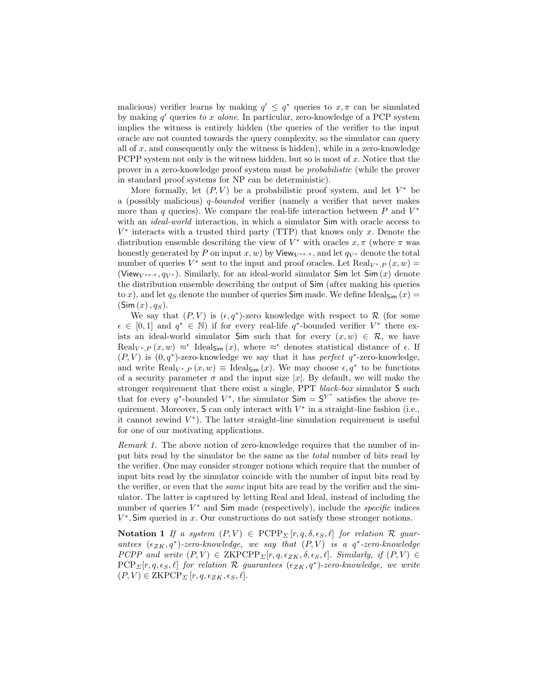malicious) verifier learns by making  $q' \leq q^*$  queries to  $x, \pi$  can be simulated by making  $q'$  queries to x alone. In particular, zero-knowledge of a PCP system implies the witness is entirely hidden (the queries of the verifier to the input oracle are not counted towards the query complexity, so the simulator can query all of  $x$ , and consequently only the witness is hidden), while in a zero-knowledge PCPP system not only is the witness hidden, but so is most of x. Notice that the prover in a zero-knowledge proof system must be probabilistic (while the prover in standard proof systems for NP can be deterministic).

More formally, let  $(P, V)$  be a probabilistic proof system, and let  $V^*$  be a (possibly malicious)  $q$ -bounded verifier (namely a verifier that never makes more than  $q$  queries). We compare the real-life interaction between  $P$  and  $V^*$ with an *ideal-world* interaction, in which a simulator Sim with oracle access to  $V^*$  interacts with a trusted third party (TTP) that knows only x. Denote the distribution ensemble describing the view of  $V^*$  with oracles  $x, \pi$  (where  $\pi$  was honestly generated by P on input x, w) by View<sub>V\*x,π</sub>, and let  $q_{V^*}$  denote the total number of queries  $V^*$  sent to the input and proof oracles. Let  $\text{Real}_{V^*,P}(x,w) =$ (View<sub>V</sub>\*x,π, q<sub>V</sub>\*). Similarly, for an ideal-world simulator Sim let Sim (x) denote the distribution ensemble describing the output of Sim (after making his queries to x), and let  $q_S$  denote the number of queries Sim made. We define Ideal<sub>Sim</sub>  $(x)$  =  $(Sim(x), q<sub>S</sub>)$ .

We say that  $(P, V)$  is  $(\epsilon, q^*)$ -zero knowledge with respect to R (for some  $\epsilon \in [0,1]$  and  $q^* \in \mathbb{N}$ ) if for every real-life  $q^*$ -bounded verifier  $V^*$  there exists an ideal-world simulator Sim such that for every  $(x, w) \in \mathcal{R}$ , we have Real<sub>V<sup>\*</sup>,P</sub>  $(x, w) \approx^{\epsilon}$  Ideal<sub>Sim</sub>  $(x)$ , where  $\approx^{\epsilon}$  denotes statistical distance of  $\epsilon$ . If  $(P, V)$  is  $(0, q^*)$ -zero-knowledge we say that it has *perfect*  $q^*$ -zero-knowledge, and write  $\text{Real}_{V^*,P}(x, w) \equiv \text{Ideal}_{\text{Sim}}(x)$ . We may choose  $\epsilon, q^*$  to be functions of a security parameter  $\sigma$  and the input size |x|. By default, we will make the stronger requirement that there exist a single, PPT black-box simulator S such that for every  $q^*$ -bounded  $V^*$ , the simulator  $\mathsf{Sim} = \mathsf{S}^{V^*}$  satisfies the above requirement. Moreover,  $S$  can only interact with  $V^*$  in a straight-line fashion (i.e., it cannot rewind  $V^*$ ). The latter straight-line simulation requirement is useful for one of our motivating applications.

Remark 1. The above notion of zero-knowledge requires that the number of input bits read by the simulator be the same as the total number of bits read by the verifier. One may consider stronger notions which require that the number of input bits read by the simulator coincide with the number of input bits read by the verifier, or even that the same input bits are read by the verifier and the simulator. The latter is captured by letting Real and Ideal, instead of including the number of queries  $V^*$  and  $Sim$  made (respectively), include the *specific* indices V ∗ , Sim queried in x. Our constructions do not satisfy these stronger notions.

Notation 1 If a system  $(P, V) \in PCPP_{\Sigma}[r, q, \delta, \epsilon_S, \ell]$  for relation R guarantees  $(\epsilon_{ZK}, q^*)$ -zero-knowledge, we say that  $(P, V)$  is a  $q^*$ -zero-knowledge PCPP and write  $(P, V) \in \text{ZKPCPP}_\Sigma[r, q, \epsilon_{ZK}, \delta, \epsilon_S, \ell]$ . Similarly, if  $(P, V) \in$  $\text{PCP}_{\Sigma}[r, q, \epsilon_S, \ell]$  for relation R guarantees  $(\epsilon_{ZK}, q^*)$ -zero-knowledge, we write  $(P, V) \in \text{ZKPCP}_\Sigma[r, q, \epsilon_{ZK}, \epsilon_S, \ell].$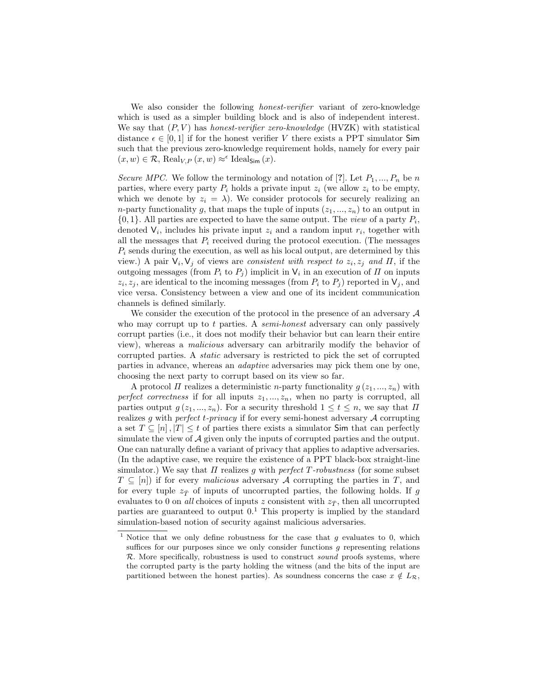We also consider the following *honest-verifier* variant of zero-knowledge which is used as a simpler building block and is also of independent interest. We say that  $(P, V)$  has *honest-verifier zero-knowledge* (HVZK) with statistical distance  $\epsilon \in [0,1]$  if for the honest verifier V there exists a PPT simulator Sim such that the previous zero-knowledge requirement holds, namely for every pair  $(x, w) \in \mathcal{R}$ , Real<sub>V,P</sub>  $(x, w) \approx^{\epsilon}$  Ideal<sub>Sim</sub>  $(x)$ .

Secure MPC. We follow the terminology and notation of [?]. Let  $P_1, ..., P_n$  be n parties, where every party  $P_i$  holds a private input  $z_i$  (we allow  $z_i$  to be empty, which we denote by  $z_i = \lambda$ ). We consider protocols for securely realizing an *n*-party functionality g, that maps the tuple of inputs  $(z_1, ..., z_n)$  to an output in  $\{0,1\}$ . All parties are expected to have the same output. The *view* of a party  $P_i$ , denoted  $V_i$ , includes his private input  $z_i$  and a random input  $r_i$ , together with all the messages that  $P_i$  received during the protocol execution. (The messages  $P_i$  sends during the execution, as well as his local output, are determined by this view.) A pair  $V_i$ ,  $V_j$  of views are consistent with respect to  $z_i$ ,  $z_j$  and  $\Pi$ , if the outgoing messages (from  $P_i$  to  $P_j$ ) implicit in  $V_i$  in an execution of  $\Pi$  on inputs  $z_i, z_j$ , are identical to the incoming messages (from  $P_i$  to  $P_j$ ) reported in  $V_j$ , and vice versa. Consistency between a view and one of its incident communication channels is defined similarly.

We consider the execution of the protocol in the presence of an adversary  $A$ who may corrupt up to t parties. A semi-honest adversary can only passively corrupt parties (i.e., it does not modify their behavior but can learn their entire view), whereas a malicious adversary can arbitrarily modify the behavior of corrupted parties. A static adversary is restricted to pick the set of corrupted parties in advance, whereas an adaptive adversaries may pick them one by one, choosing the next party to corrupt based on its view so far.

A protocol  $\Pi$  realizes a deterministic *n*-party functionality  $g(z_1, ..., z_n)$  with perfect correctness if for all inputs  $z_1, ..., z_n$ , when no party is corrupted, all parties output  $g(z_1, ..., z_n)$ . For a security threshold  $1 \le t \le n$ , we say that  $\Pi$ realizes g with *perfect t-privacy* if for every semi-honest adversary  $A$  corrupting a set  $T \subseteq [n], |T| \leq t$  of parties there exists a simulator Sim that can perfectly simulate the view of  $\mathcal A$  given only the inputs of corrupted parties and the output. One can naturally define a variant of privacy that applies to adaptive adversaries. (In the adaptive case, we require the existence of a PPT black-box straight-line simulator.) We say that  $\Pi$  realizes g with perfect T-robustness (for some subset  $T \subseteq [n]$  if for every malicious adversary A corrupting the parties in T, and for every tuple  $z_{\overline{T}}$  of inputs of uncorrupted parties, the following holds. If g evaluates to 0 on all choices of inputs z consistent with  $z_{\overline{T}}$ , then all uncorrupted parties are guaranteed to output  $0<sup>1</sup>$ . This property is implied by the standard simulation-based notion of security against malicious adversaries.

<sup>&</sup>lt;sup>1</sup> Notice that we only define robustness for the case that q evaluates to 0, which suffices for our purposes since we only consider functions  $g$  representing relations  $R$ . More specifically, robustness is used to construct sound proofs systems, where the corrupted party is the party holding the witness (and the bits of the input are partitioned between the honest parties). As soundness concerns the case  $x \notin L_{\mathcal{R}}$ ,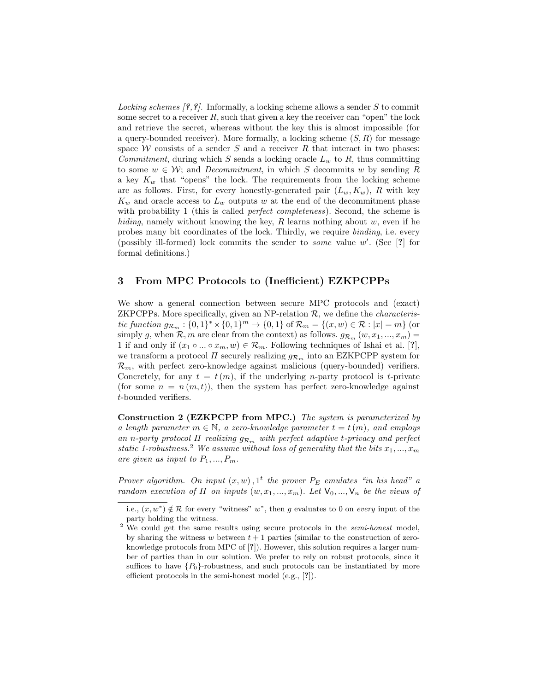Locking schemes [?, ?]. Informally, a locking scheme allows a sender S to commit some secret to a receiver  $R$ , such that given a key the receiver can "open" the lock and retrieve the secret, whereas without the key this is almost impossible (for a query-bounded receiver). More formally, a locking scheme  $(S, R)$  for message space  $W$  consists of a sender  $S$  and a receiver  $R$  that interact in two phases: Commitment, during which S sends a locking oracle  $L_w$  to R, thus committing to some  $w \in \mathcal{W}$ ; and *Decommitment*, in which S decommits w by sending R a key  $K_w$  that "opens" the lock. The requirements from the locking scheme are as follows. First, for every honestly-generated pair  $(L_w, K_w)$ , R with key  $K_w$  and oracle access to  $L_w$  outputs w at the end of the decommitment phase with probability 1 (this is called *perfect completeness*). Second, the scheme is hiding, namely without knowing the key,  $R$  learns nothing about  $w$ , even if he probes many bit coordinates of the lock. Thirdly, we require binding, i.e. every (possibly ill-formed) lock commits the sender to *some* value w'. (See [?] for formal definitions.)

## 3 From MPC Protocols to (Inefficient) EZKPCPPs

We show a general connection between secure MPC protocols and (exact) ZKPCPPs. More specifically, given an NP-relation  $\mathcal{R}$ , we define the *characteris*tic function  $g_{\mathcal{R}_m} : \{0,1\}^* \times \{0,1\}^m \to \{0,1\}$  of  $\mathcal{R}_m = \{(x,w) \in \mathcal{R} : |x| = m\}$  (or simply g, when  $\mathcal{R}, m$  are clear from the context) as follows.  $g_{\mathcal{R}_m}(w, x_1, ..., x_m) =$ 1 if and only if  $(x_1 \circ ... \circ x_m, w) \in \mathcal{R}_m$ . Following techniques of Ishai et al. [?], we transform a protocol  $\Pi$  securely realizing  $g_{\mathcal{R}_m}$  into an EZKPCPP system for  $\mathcal{R}_m$ , with perfect zero-knowledge against malicious (query-bounded) verifiers. Concretely, for any  $t = t(m)$ , if the underlying *n*-party protocol is *t*-private (for some  $n = n(m, t)$ ), then the system has perfect zero-knowledge against t-bounded verifiers.

Construction 2 (EZKPCPP from MPC.) The system is parameterized by a length parameter  $m \in \mathbb{N}$ , a zero-knowledge parameter  $t = t(m)$ , and employs an n-party protocol  $\Pi$  realizing  $g_{\mathcal{R}_m}$  with perfect adaptive t-privacy and perfect static 1-robustness.<sup>2</sup> We assume without loss of generality that the bits  $x_1, ..., x_m$ are given as input to  $P_1, ..., P_m$ .

Prover algorithm. On input  $(x, w)$ , 1<sup>t</sup> the prover  $P_E$  emulates "in his head" a random execution of  $\Pi$  on inputs  $(w, x_1, ..., x_m)$ . Let  $\mathsf{V}_0, ..., \mathsf{V}_n$  be the views of

i.e.,  $(x, w^*) \notin \mathcal{R}$  for every "witness"  $w^*$ , then g evaluates to 0 on every input of the party holding the witness.

<sup>&</sup>lt;sup>2</sup> We could get the same results using secure protocols in the *semi-honest* model, by sharing the witness w between  $t + 1$  parties (similar to the construction of zeroknowledge protocols from MPC of [?]). However, this solution requires a larger number of parties than in our solution. We prefer to rely on robust protocols, since it suffices to have  ${P_0}$ -robustness, and such protocols can be instantiated by more efficient protocols in the semi-honest model (e.g., [?]).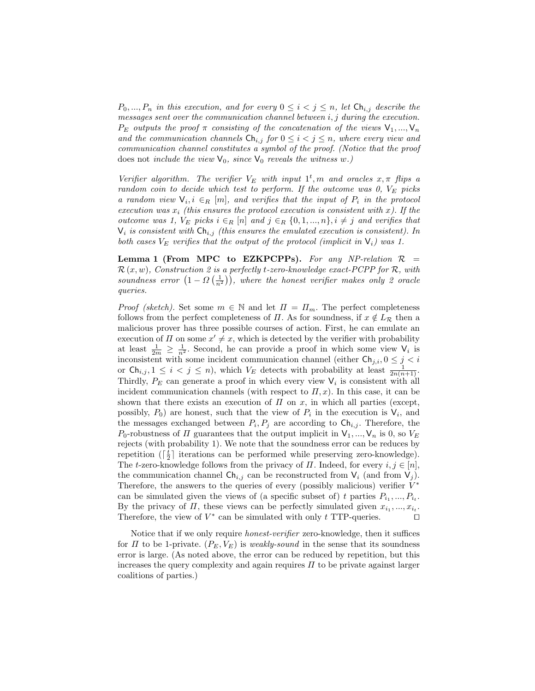$P_0, ..., P_n$  in this execution, and for every  $0 \leq i \leq j \leq n$ , let  $\mathsf{Ch}_{i,j}$  describe the messages sent over the communication channel between  $i, j$  during the execution.  $P_E$  outputs the proof  $\pi$  consisting of the concatenation of the views  $\mathsf{V}_1, \ldots, \mathsf{V}_n$ and the communication channels  $\mathsf{Ch}_{i,j}$  for  $0 \leq i < j \leq n$ , where every view and communication channel constitutes a symbol of the proof. (Notice that the proof does not include the view  $V_0$ , since  $V_0$  reveals the witness w.)

Verifier algorithm. The verifier  $V_E$  with input  $1^t$ , m and oracles  $x, \pi$  flips a random coin to decide which test to perform. If the outcome was  $0, V_E$  picks a random view  $\mathsf{V}_i, i \in_R [m]$ , and verifies that the input of  $P_i$  in the protocol execution was  $x_i$  (this ensures the protocol execution is consistent with x). If the outcome was 1,  $V_E$  picks  $i \in_R [n]$  and  $j \in_R \{0, 1, ..., n\}$ ,  $i \neq j$  and verifies that  $V_i$  is consistent with  $\mathsf{Ch}_{i,j}$  (this ensures the emulated execution is consistent). In both cases  $V_E$  verifies that the output of the protocol (implicit in  $V_i$ ) was 1.

Lemma 1 (From MPC to EZKPCPPs). For any NP-relation  $\mathcal{R}$  =  $\mathcal{R}(x, w)$ , Construction 2 is a perfectly t-zero-knowledge exact-PCPP for  $\mathcal{R}$ , with soundness error  $(1 - \Omega(\frac{1}{n^2}))$ , where the honest verifier makes only 2 oracle queries.

*Proof (sketch)*. Set some  $m \in \mathbb{N}$  and let  $\Pi = \Pi_m$ . The perfect completeness follows from the perfect completeness of  $\Pi$ . As for soundness, if  $x \notin L_{\mathcal{R}}$  then a malicious prover has three possible courses of action. First, he can emulate an execution of  $\Pi$  on some  $x' \neq x$ , which is detected by the verifier with probability at least  $\frac{1}{2m} \geq \frac{1}{n^2}$ . Second, he can provide a proof in which some view  $V_i$  is inconsistent with some incident communication channel (either  $\mathsf{Ch}_{j,i}, 0 \leq j < i$ or  $\mathsf{Ch}_{i,j}, 1 \leq i < j \leq n$ , which  $V_E$  detects with probability at least  $\frac{1}{2n(n+1)}$ . Thirdly,  $P_E$  can generate a proof in which every view  $V_i$  is consistent with all incident communication channels (with respect to  $\Pi, x$ ). In this case, it can be shown that there exists an execution of  $\Pi$  on  $x$ , in which all parties (except, possibly,  $P_0$ ) are honest, such that the view of  $P_i$  in the execution is  $V_i$ , and the messages exchanged between  $P_i, P_j$  are according to  $\mathsf{Ch}_{i,j}$ . Therefore, the  $P_0$ -robustness of  $\Pi$  guarantees that the output implicit in  $V_1, ..., V_n$  is 0, so  $V_E$ rejects (with probability 1). We note that the soundness error can be reduces by repetition  $(\lceil \frac{t}{2} \rceil)$  iterations can be performed while preserving zero-knowledge). The t-zero-knowledge follows from the privacy of  $\Pi$ . Indeed, for every  $i, j \in [n]$ , the communication channel  $\mathsf{Ch}_{i,j}$  can be reconstructed from  $\mathsf{V}_i$  (and from  $\mathsf{V}_j$ ). Therefore, the answers to the queries of every (possibly malicious) verifier  $V^*$ can be simulated given the views of (a specific subset of) t parties  $P_{i_1},...,P_{i_t}$ . By the privacy of  $\Pi$ , these views can be perfectly simulated given  $x_{i_1},...,x_{i_t}$ . Therefore, the view of  $V^*$  can be simulated with only t TTP-queries.  $□$ 

Notice that if we only require honest-verifier zero-knowledge, then it suffices for  $\Pi$  to be 1-private.  $(P_E, V_E)$  is weakly-sound in the sense that its soundness error is large. (As noted above, the error can be reduced by repetition, but this increases the query complexity and again requires  $\Pi$  to be private against larger coalitions of parties.)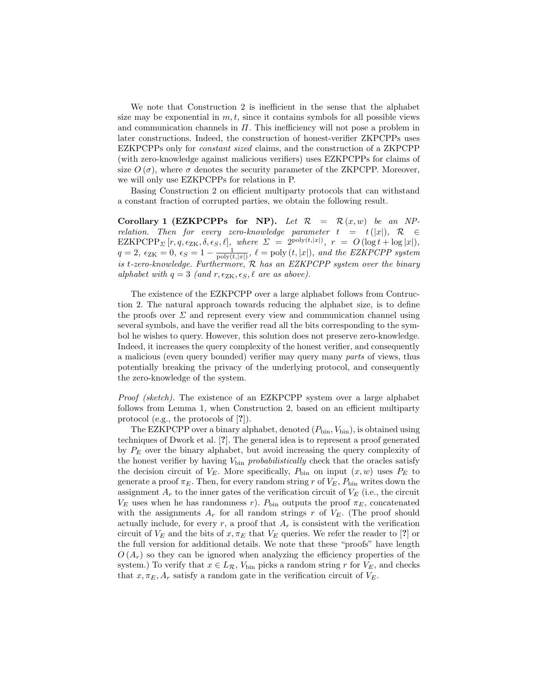We note that Construction 2 is inefficient in the sense that the alphabet size may be exponential in  $m, t$ , since it contains symbols for all possible views and communication channels in  $\Pi$ . This inefficiency will not pose a problem in later constructions. Indeed, the construction of honest-verifier ZKPCPPs uses EZKPCPPs only for constant sized claims, and the construction of a ZKPCPP (with zero-knowledge against malicious verifiers) uses EZKPCPPs for claims of size  $O(\sigma)$ , where  $\sigma$  denotes the security parameter of the ZKPCPP. Moreover, we will only use EZKPCPPs for relations in P.

Basing Construction 2 on efficient multiparty protocols that can withstand a constant fraction of corrupted parties, we obtain the following result.

Corollary 1 (EZKPCPPs for NP). Let  $\mathcal{R} = \mathcal{R}(x, w)$  be an NPrelation. Then for every zero-knowledge parameter  $t = t(|x|)$ ,  $\mathcal{R} \in$  $EZKPCPP \sum [r, q, \epsilon_{ZK}, \delta, \epsilon_S, \ell],$  where  $\Sigma = 2^{\text{poly}(t, |x|)}, r = O(\log t + \log |x|),$  $q = 2$ ,  $\epsilon_{\text{ZK}} = 0$ ,  $\epsilon_{S} = 1 - \frac{1}{\text{poly}(t, |x|)}$ ,  $\ell = \text{poly}(t, |x|)$ , and the EZKPCPP system is t-zero-knowledge. Furthermore,  $R$  has an EZKPCPP system over the binary alphabet with  $q = 3$  (and  $r, \epsilon_{\rm ZK}, \epsilon_{\rm S}, \ell$  are as above).

The existence of the EZKPCPP over a large alphabet follows from Contruction 2. The natural approach towards reducing the alphabet size, is to define the proofs over  $\Sigma$  and represent every view and communication channel using several symbols, and have the verifier read all the bits corresponding to the symbol he wishes to query. However, this solution does not preserve zero-knowledge. Indeed, it increases the query complexity of the honest verifier, and consequently a malicious (even query bounded) verifier may query many parts of views, thus potentially breaking the privacy of the underlying protocol, and consequently the zero-knowledge of the system.

Proof (sketch). The existence of an EZKPCPP system over a large alphabet follows from Lemma 1, when Construction 2, based on an efficient multiparty protocol (e.g., the protocols of [?]).

The EZKPCPP over a binary alphabet, denoted  $(P_{\text{bin}}, V_{\text{bin}})$ , is obtained using techniques of Dwork et al. [?]. The general idea is to represent a proof generated by  $P_E$  over the binary alphabet, but avoid increasing the query complexity of the honest verifier by having  $V_{\text{bin}}$  probabilistically check that the oracles satisfy the decision circuit of  $V_E$ . More specifically,  $P_{\text{bin}}$  on input  $(x, w)$  uses  $P_E$  to generate a proof  $\pi_E$ . Then, for every random string r of  $V_E$ ,  $P_{\text{bin}}$  writes down the assignment  $A_r$  to the inner gates of the verification circuit of  $V_E$  (i.e., the circuit  $V_E$  uses when he has randomness r).  $P_{\text{bin}}$  outputs the proof  $\pi_E$ , concatenated with the assignments  $A_r$  for all random strings r of  $V_E$ . (The proof should actually include, for every r, a proof that  $A_r$  is consistent with the verification circuit of  $V_E$  and the bits of  $x, \pi_E$  that  $V_E$  queries. We refer the reader to [?] or the full version for additional details. We note that these "proofs" have length  $O(A_r)$  so they can be ignored when analyzing the efficiency properties of the system.) To verify that  $x \in L_{\mathcal{R}}$ ,  $V_{\text{bin}}$  picks a random string r for  $V_E$ , and checks that  $x, \pi_E, A_r$  satisfy a random gate in the verification circuit of  $V_E$ .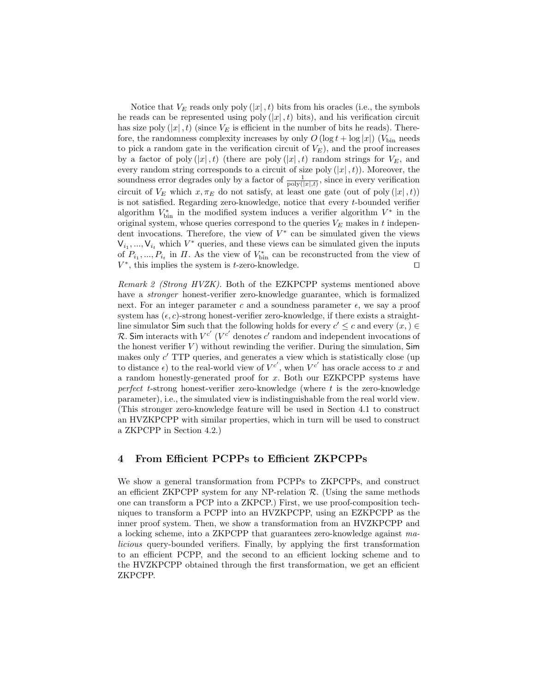Notice that  $V_E$  reads only poly  $(|x|, t)$  bits from his oracles (i.e., the symbols he reads can be represented using poly  $(|x|, t)$  bits), and his verification circuit has size poly  $(|x|, t)$  (since  $V_E$  is efficient in the number of bits he reads). Therefore, the randomness complexity increases by only  $O(\log t + \log |x|)$  ( $V_{\text{bin}}$  needs to pick a random gate in the verification circuit of  $V_E$ ), and the proof increases by a factor of poly  $(|x|, t)$  (there are poly  $(|x|, t)$  random strings for  $V_F$ , and every random string corresponds to a circuit of size poly  $(|x|, t)$ ). Moreover, the soundness error degrades only by a factor of  $\frac{1}{\text{poly}(|x|,t)}$ , since in every verification circuit of  $V_E$  which  $x, \pi_E$  do not satisfy, at least one gate (out of poly  $(|x|, t)$ ) is not satisfied. Regarding zero-knowledge, notice that every t-bounded verifier algorithm  $V_{\text{bin}}^*$  in the modified system induces a verifier algorithm  $V^*$  in the original system, whose queries correspond to the queries  $V_E$  makes in t independent invocations. Therefore, the view of  $V^*$  can be simulated given the views  $V_{i_1},...,V_{i_t}$  which  $V^*$  queries, and these views can be simulated given the inputs of  $P_{i_1},...,P_{i_t}$  in  $\Pi$ . As the view of  $V^*_{\text{bin}}$  can be reconstructed from the view of  $V^*$ , this implies the system is *t*-zero-knowledge. □

Remark 2 (Strong HVZK). Both of the EZKPCPP systems mentioned above have a stronger honest-verifier zero-knowledge guarantee, which is formalized next. For an integer parameter c and a soundness parameter  $\epsilon$ , we say a proof system has  $(\epsilon, c)$ -strong honest-verifier zero-knowledge, if there exists a straightline simulator Sim such that the following holds for every  $c' \leq c$  and every  $(x, \epsilon)$ R. Sim interacts with  $V^{c'}$  ( $V^{c'}$  denotes c' random and independent invocations of the honest verifier  $V$ ) without rewinding the verifier. During the simulation,  $Sim$ makes only  $c'$  TTP queries, and generates a view which is statistically close (up to distance  $\epsilon$ ) to the real-world view of  $V^{c'}$ , when  $V^{c'}$  has oracle access to x and a random honestly-generated proof for  $x$ . Both our EZKPCPP systems have  $perfect$  t-strong honest-verifier zero-knowledge (where  $t$  is the zero-knowledge parameter), i.e., the simulated view is indistinguishable from the real world view. (This stronger zero-knowledge feature will be used in Section 4.1 to construct an HVZKPCPP with similar properties, which in turn will be used to construct a ZKPCPP in Section 4.2.)

## 4 From Efficient PCPPs to Efficient ZKPCPPs

We show a general transformation from PCPPs to ZKPCPPs, and construct an efficient ZKPCPP system for any NP-relation  $\mathcal{R}$ . (Using the same methods one can transform a PCP into a ZKPCP.) First, we use proof-composition techniques to transform a PCPP into an HVZKPCPP, using an EZKPCPP as the inner proof system. Then, we show a transformation from an HVZKPCPP and a locking scheme, into a ZKPCPP that guarantees zero-knowledge against malicious query-bounded verifiers. Finally, by applying the first transformation to an efficient PCPP, and the second to an efficient locking scheme and to the HVZKPCPP obtained through the first transformation, we get an efficient ZKPCPP.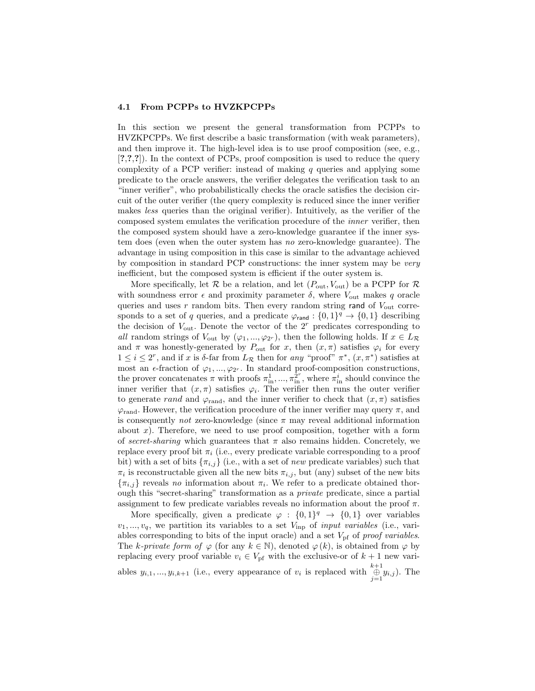### 4.1 From PCPPs to HVZKPCPPs

In this section we present the general transformation from PCPPs to HVZKPCPPs. We first describe a basic transformation (with weak parameters), and then improve it. The high-level idea is to use proof composition (see, e.g., [?,?,?]). In the context of PCPs, proof composition is used to reduce the query complexity of a PCP verifier: instead of making  $q$  queries and applying some predicate to the oracle answers, the verifier delegates the verification task to an "inner verifier", who probabilistically checks the oracle satisfies the decision circuit of the outer verifier (the query complexity is reduced since the inner verifier makes less queries than the original verifier). Intuitively, as the verifier of the composed system emulates the verification procedure of the inner verifier, then the composed system should have a zero-knowledge guarantee if the inner system does (even when the outer system has no zero-knowledge guarantee). The advantage in using composition in this case is similar to the advantage achieved by composition in standard PCP constructions: the inner system may be very inefficient, but the composed system is efficient if the outer system is.

More specifically, let  $\mathcal R$  be a relation, and let  $(P_{\text{out}}, V_{\text{out}})$  be a PCPP for  $\mathcal R$ with soundness error  $\epsilon$  and proximity parameter  $\delta$ , where  $V_{\text{out}}$  makes q oracle queries and uses r random bits. Then every random string rand of  $V_{\text{out}}$  corresponds to a set of q queries, and a predicate  $\varphi_{\text{rand}}: \{0,1\}^q \to \{0,1\}$  describing the decision of  $V_{\text{out}}$ . Denote the vector of the  $2<sup>r</sup>$  predicates corresponding to all random strings of  $V_{\text{out}}$  by  $(\varphi_1, ..., \varphi_{2r})$ , then the following holds. If  $x \in L_{\mathcal{R}}$ and  $\pi$  was honestly-generated by  $P_{\text{out}}$  for x, then  $(x, \pi)$  satisfies  $\varphi_i$  for every  $1 \leq i \leq 2^r$ , and if x is  $\delta$ -far from  $L_{\mathcal{R}}$  then for any "proof"  $\pi^*$ ,  $(x, \pi^*)$  satisfies at most an  $\epsilon$ -fraction of  $\varphi_1, ..., \varphi_{2r}$ . In standard proof-composition constructions, the prover concatenates  $\pi$  with proofs  $\pi_{\rm in}^1, ..., \pi_{\rm in}^{\bar{2}^r}$ , where  $\pi_{\rm in}^i$  should convince the inner verifier that  $(x, \pi)$  satisfies  $\varphi_i$ . The verifier then runs the outer verifier to generate rand and  $\varphi_{\text{rand}}$ , and the inner verifier to check that  $(x, \pi)$  satisfies  $\varphi_{\text{rand}}$ . However, the verification procedure of the inner verifier may query  $\pi$ , and is consequently not zero-knowledge (since  $\pi$  may reveal additional information about  $x$ ). Therefore, we need to use proof composition, together with a form of secret-sharing which guarantees that  $\pi$  also remains hidden. Concretely, we replace every proof bit  $\pi_i$  (i.e., every predicate variable corresponding to a proof bit) with a set of bits  $\{\pi_{i,j}\}$  (i.e., with a set of new predicate variables) such that  $\pi_i$  is reconstructable given all the new bits  $\pi_{i,j}$ , but (any) subset of the new bits  $\{\pi_{i,j}\}\$  reveals no information about  $\pi_i$ . We refer to a predicate obtained thorough this "secret-sharing" transformation as a private predicate, since a partial assignment to few predicate variables reveals no information about the proof  $\pi$ .

More specifically, given a predicate  $\varphi : \{0,1\}^q \to \{0,1\}$  over variables  $v_1, \ldots, v_q$ , we partition its variables to a set  $V_{\text{inp}}$  of *input variables* (i.e., variables corresponding to bits of the input oracle) and a set  $V_{\rm pf}$  of proof variables. The k-private form of  $\varphi$  (for any  $k \in \mathbb{N}$ ), denoted  $\varphi(k)$ , is obtained from  $\varphi$  by replacing every proof variable  $v_i \in V_{\text{pf}}$  with the exclusive-or of  $k+1$  new variables  $y_{i,1},..., y_{i,k+1}$  (i.e., every appearance of  $v_i$  is replaced with  $\bigoplus_{j=1}^{k+1} y_{i,j}$ ). The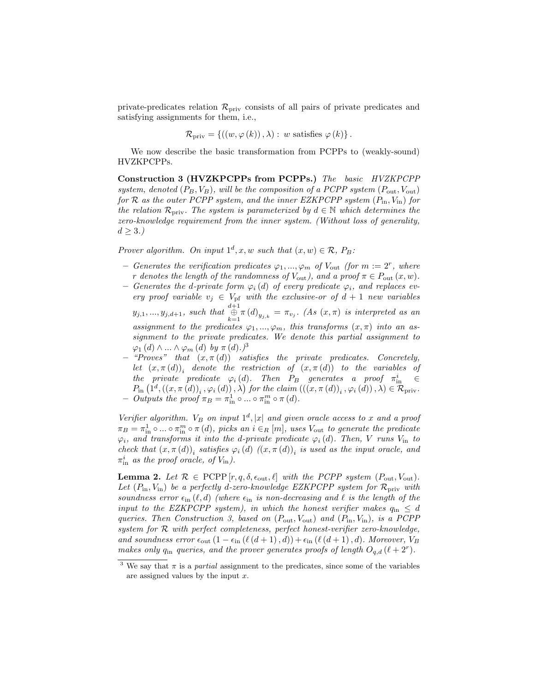private-predicates relation  $\mathcal{R}_{\text{priv}}$  consists of all pairs of private predicates and satisfying assignments for them, i.e.,

$$
\mathcal{R}_{\text{priv}} = \left\{ \left( \left( w, \varphi \left( k \right) \right), \lambda \right) : w \text{ satisfies } \varphi \left( k \right) \right\}.
$$

We now describe the basic transformation from PCPPs to (weakly-sound) HVZKPCPPs.

Construction 3 (HVZKPCPPs from PCPPs.) The basic HVZKPCPP system, denoted  $(P_B, V_B)$ , will be the composition of a PCPP system  $(P_{\text{out}}, V_{\text{out}})$ for R as the outer PCPP system, and the inner EZKPCPP system  $(P_{\text{in}}, V_{\text{in}})$  for the relation  $\mathcal{R}_{\text{priv}}$ . The system is parameterized by  $d \in \mathbb{N}$  which determines the zero-knowledge requirement from the inner system. (Without loss of generality,  $d \geq 3.$ 

Prover algorithm. On input  $1^d$ , x, w such that  $(x, w) \in \mathcal{R}$ ,  $P_B$ :

- Generates the verification predicates  $\varphi_1, ..., \varphi_m$  of  $V_{\text{out}}$  (for  $m := 2^r$ , where r denotes the length of the randomness of  $V_{\text{out}}$ ), and a proof  $\pi \in P_{\text{out}}(x, w)$ .
- $-$  Generates the d-private form  $\varphi_i(d)$  of every predicate  $\varphi_i$ , and replaces every proof variable  $v_j \in V_{\text{pf}}$  with the exclusive-or of  $d+1$  new variables  $y_{j,1},..., y_{j,d+1}$ , such that  $\bigoplus_{k=1}^{d+1} \pi(d)_{y_{j,k}} = \pi_{v_j}$ . (As  $(x, \pi)$  is interpreted as an assignment to the predicates  $\varphi_1, ..., \varphi_m$ , this transforms  $(x, \pi)$  into an assignment to the private predicates. We denote this partial assignment to  $\varphi_1(d) \wedge ... \wedge \varphi_m(d)$  by  $\pi(d)$ .)<sup>3</sup>
- $-$  "Proves" that  $(x, \pi(d))$  satisfies the private predicates. Concretely, let  $(x, \pi(d))_i$  denote the restriction of  $(x, \pi(d))$  to the variables of the private predicate  $\varphi_i(d)$ . Then  $P_B$  generates a proof  $\pi_{\text{in}}^i \in$  $P_{\text{in}}\left(1^d, \left(\left(x, \pi(d)\right)_i, \varphi_i\left(d\right)\right), \lambda\right)$  for the claim  $\left(\left(\left(x, \pi(d)\right)_i, \varphi_i\left(d\right)\right), \lambda\right) \in \mathcal{R}_{\text{priv}}$ . - Outputs the proof  $\pi_B = \pi_{\text{in}}^1 \circ ... \circ \pi_{\text{in}}^m \circ \pi(d)$ .

Verifier algorithm.  $V_B$  on input  $1^d$ ,  $|x|$  and given oracle access to x and a proof  $\pi_B = \pi_{\text{in}}^1 \circ ... \circ \pi_{\text{in}}^m \circ \pi(d)$ , picks an  $i \in_R [m]$ , uses  $V_{\text{out}}$  to generate the predicate  $\varphi_i$ , and transforms it into the d-private predicate  $\varphi_i(d)$ . Then, V runs V<sub>in</sub> to check that  $(x, \pi(d))_i$  satisfies  $\varphi_i(d)$   $((x, \pi(d))_i$  is used as the input oracle, and  $\pi_{\rm in}^i$  as the proof oracle, of  $V_{\rm in}$ ).

**Lemma 2.** Let  $\mathcal{R} \in \text{PCPP } [r, q, \delta, \epsilon_{\text{out}}, \ell]$  with the PCPP system  $(P_{\text{out}}, V_{\text{out}})$ . Let  $(P_{\text{in}}, V_{\text{in}})$  be a perfectly d-zero-knowledge EZKPCPP system for  $\mathcal{R}_{\text{priv}}$  with soundness error  $\epsilon_{\rm in}(\ell, d)$  (where  $\epsilon_{\rm in}$  is non-decreasing and  $\ell$  is the length of the input to the EZKPCPP system), in which the honest verifier makes  $q_{\text{in}} \leq d$ queries. Then Construction 3, based on  $(P_{\text{out}}, V_{\text{out}})$  and  $(P_{\text{in}}, V_{\text{in}})$ , is a PCPP system for R with perfect completeness, perfect honest-verifier zero-knowledge, and soundness error  $\epsilon_{\text{out}}(1 - \epsilon_{\text{in}}(\ell(d+1), d)) + \epsilon_{\text{in}}(\ell(d+1), d)$ . Moreover,  $V_B$ makes only  $q_{\text{in}}$  queries, and the prover generates proofs of length  $O_{q,d}$  ( $\ell + 2^r$ ).

<sup>&</sup>lt;sup>3</sup> We say that  $\pi$  is a *partial* assignment to the predicates, since some of the variables are assigned values by the input x.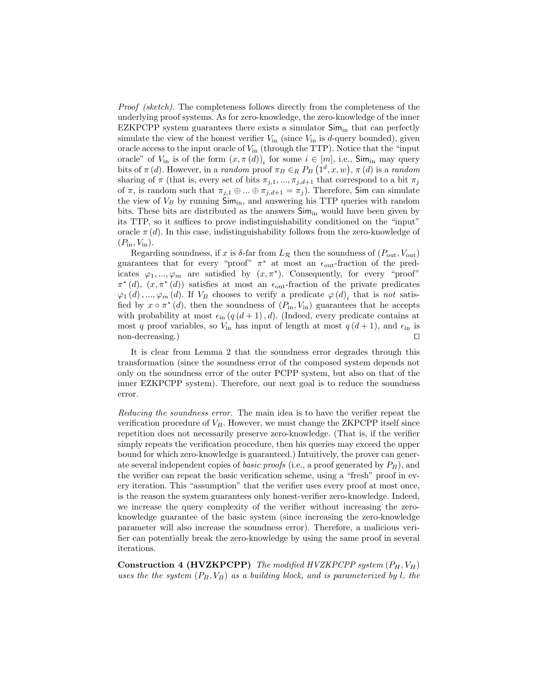Proof (sketch). The completeness follows directly from the completeness of the underlying proof systems. As for zero-knowledge, the zero-knowledge of the inner EZKPCPP system guarantees there exists a simulator  $Sim_{in}$  that can perfectly simulate the view of the honest verifier  $V_{\text{in}}$  (since  $V_{\text{in}}$  is d-query bounded), given oracle access to the input oracle of  $V_{\text{in}}$  (through the TTP). Notice that the "input oracle" of  $V_{\text{in}}$  is of the form  $(x, \pi(d))_i$  for some  $i \in [m]$ , i.e., Sim<sub>in</sub> may query bits of  $\pi(d)$ . However, in a *random* proof  $\pi_B \in_R P_B(1^d, x, w)$ ,  $\pi(d)$  is a *random* sharing of  $\pi$  (that is, every set of bits  $\pi_{j,1}, ..., \pi_{j,d+1}$  that correspond to a bit  $\pi_j$ of  $\pi$ , is random such that  $\pi_{j,1} \oplus ... \oplus \pi_{j,d+1} = \pi_j$ . Therefore, Sim can simulate the view of  $V_B$  by running  $\textsf{Sim}_{\text{in}}$ , and answering his TTP queries with random bits. These bits are distributed as the answers  $Sim_{in}$  would have been given by its TTP, so it suffices to prove indistinguishability conditioned on the "input" oracle  $\pi(d)$ . In this case, indistinguishability follows from the zero-knowledge of  $(P_{\rm in}, V_{\rm in}).$ 

Regarding soundness, if x is  $\delta$ -far from  $L_{\mathcal{R}}$  then the soundness of  $(P_{\text{out}}, V_{\text{out}})$ guarantees that for every "proof"  $\pi^*$  at most an  $\epsilon_{\text{out}}$ -fraction of the predicates  $\varphi_1, ..., \varphi_m$  are satisfied by  $(x, \pi^*)$ . Consequently, for every "proof"  $\pi^*(d)$ ,  $(x, \pi^*(d))$  satisfies at most an  $\epsilon_{\text{out}}$ -fraction of the private predicates  $\varphi_1(d), ..., \varphi_m(d)$ . If  $V_B$  chooses to verify a predicate  $\varphi(d)_i$  that is not satisfied by  $x \circ \pi^*$  (*d*), then the soundness of  $(P_{\text{in}}, V_{\text{in}})$  guarantees that he accepts with probability at most  $\epsilon_{\text{in}}(q(d+1), d)$ . (Indeed, every predicate contains at most q proof variables, so  $V_{\text{in}}$  has input of length at most  $q(d+1)$ , and  $\epsilon_{\text{in}}$  is non-decreasing.) □

It is clear from Lemma 2 that the soundness error degrades through this transformation (since the soundness error of the composed system depends not only on the soundness error of the outer PCPP system, but also on that of the inner EZKPCPP system). Therefore, our next goal is to reduce the soundness error.

Reducing the soundness error. The main idea is to have the verifier repeat the verification procedure of  $V_B$ . However, we must change the ZKPCPP itself since repetition does not necessarily preserve zero-knowledge. (That is, if the verifier simply repeats the verification procedure, then his queries may exceed the upper bound for which zero-knowledge is guaranteed.) Intuitively, the prover can generate several independent copies of *basic proofs* (i.e., a proof generated by  $P_B$ ), and the verifier can repeat the basic verification scheme, using a "fresh" proof in every iteration. This "assumption" that the verifier uses every proof at most once, is the reason the system guarantees only honest-verifier zero-knowledge. Indeed, we increase the query complexity of the verifier without increasing the zeroknowledge guarantee of the basic system (since increasing the zero-knowledge parameter will also increase the soundness error). Therefore, a malicious verifier can potentially break the zero-knowledge by using the same proof in several iterations.

**Construction 4 (HVZKPCPP)** The modified HVZKPCPP system  $(P_H, V_H)$ uses the the system  $(P_B, V_B)$  as a building block, and is parameterized by l, the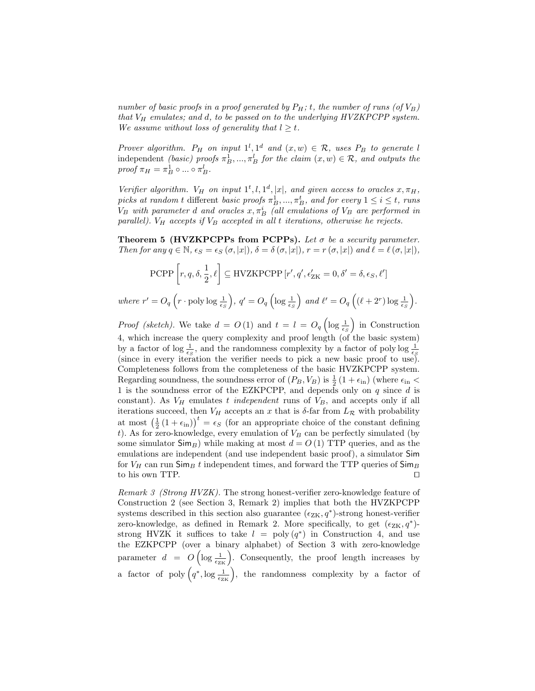number of basic proofs in a proof generated by  $P_H$ ; t, the number of runs (of  $V_B$ ) that  $V_H$  emulates; and d, to be passed on to the underlying HVZKPCPP system. We assume without loss of generality that  $l \geq t$ .

Prover algorithm.  $P_H$  on input  $1^l, 1^d$  and  $(x, w) \in \mathcal{R}$ , uses  $P_B$  to generate l independent (basic) proofs  $\pi_B^1, ..., \pi_B^l$  for the claim  $(x, w) \in \mathcal{R}$ , and outputs the proof  $\pi_H = \pi_B^1 \circ ... \circ \pi_B^l$ .

Verifier algorithm.  $V_H$  on input  $1^t, l, 1^d, |x|$ , and given access to oracles  $x, \pi_H$ , picks at random t different basic proofs  $\pi_B^1, ..., \pi_B^t$ , and for every  $1 \le i \le t$ , runs  $V_B$  with parameter d and oracles  $x, \pi_B^i$  (all emulations of  $V_B$  are performed in parallel).  $V_H$  accepts if  $V_B$  accepted in all t iterations, otherwise he rejects.

Theorem 5 (HVZKPCPPs from PCPPs). Let  $\sigma$  be a security parameter. Then for any  $q \in \mathbb{N}$ ,  $\epsilon_S = \epsilon_S (\sigma, |x|)$ ,  $\delta = \delta (\sigma, |x|)$ ,  $r = r(\sigma, |x|)$  and  $\ell = \ell (\sigma, |x|)$ ,

PCPP 
$$
\left[r, q, \delta, \frac{1}{2}, \ell\right] \subseteq \text{HVZKPCPP } [r', q', \epsilon'_{\text{ZK}} = 0, \delta' = \delta, \epsilon_S, \ell']
$$

where  $r' = O_q\left(r \cdot \text{poly}\log\frac{1}{\epsilon_S}\right)$ ,  $q' = O_q\left(\log\frac{1}{\epsilon_S}\right)$  and  $\ell' = O_q\left((\ell + 2^r)\log\frac{1}{\epsilon_S}\right)$ .

*Proof (sketch)*. We take  $d = O(1)$  and  $t = l = O_q(\log \frac{1}{\epsilon_S})$  in Construction 4, which increase the query complexity and proof length (of the basic system) by a factor of  $\log \frac{1}{\epsilon_S}$ , and the randomness complexity by a factor of poly  $\log \frac{1}{\epsilon_S}$ (since in every iteration the verifier needs to pick a new basic proof to use). Completeness follows from the completeness of the basic HVZKPCPP system. Regarding soundness, the soundness error of  $(P_B, V_B)$  is  $\frac{1}{2}(1 + \epsilon_{\rm in})$  (where  $\epsilon_{\rm in}$  < 1 is the soundness error of the EZKPCPP, and depends only on  $q$  since  $d$  is constant). As  $V_H$  emulates t independent runs of  $V_B$ , and accepts only if all iterations succeed, then  $V_H$  accepts an x that is  $\delta$ -far from  $L_R$  with probability at most  $\left(\frac{1}{2}(1+\epsilon_{\text{in}})\right)^t = \epsilon_S$  (for an appropriate choice of the constant defining t). As for zero-knowledge, every emulation of  $V_B$  can be perfectly simulated (by some simulator  $\textsf{Sim}_B$ ) while making at most  $d = O(1)$  TTP queries, and as the emulations are independent (and use independent basic proof), a simulator Sim for  $V_H$  can run Sim<sub>B</sub> t independent times, and forward the TTP queries of Sim<sub>B</sub> to his own TTP. □

Remark 3 (Strong HVZK). The strong honest-verifier zero-knowledge feature of Construction 2 (see Section 3, Remark 2) implies that both the HVZKPCPP systems described in this section also guarantee  $(\epsilon_{\text{ZK}}, q^*)$ -strong honest-verifier zero-knowledge, as defined in Remark 2. More specifically, to get  $(\epsilon_{ZK}, q^*)$ strong HVZK it suffices to take  $l = \text{poly}(q^*)$  in Construction 4, and use the EZKPCPP (over a binary alphabet) of Section 3 with zero-knowledge parameter  $d = O\left(\log \frac{1}{\epsilon_{\text{ZK}}}\right)$ . Consequently, the proof length increases by a factor of poly  $(q^*, \log \frac{1}{\epsilon_{\text{ZX}}})$ , the randomness complexity by a factor of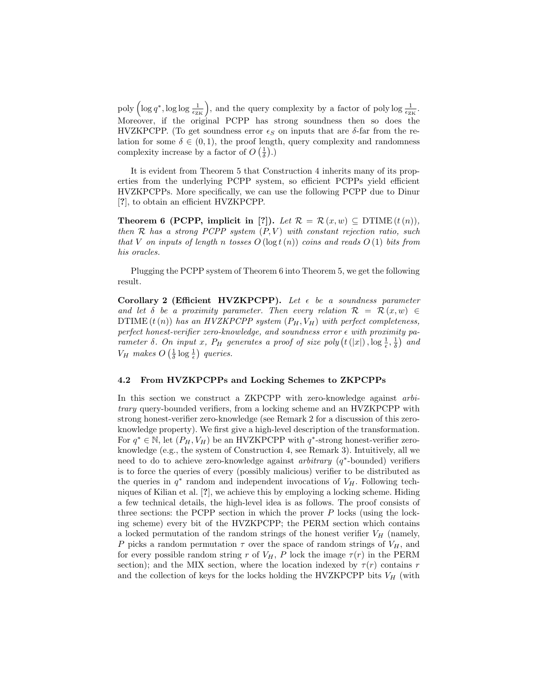poly  $\left(\log q^*, \log \log \frac{1}{\epsilon_{\text{ZK}}}\right)$ , and the query complexity by a factor of poly  $\log \frac{1}{\epsilon_{\text{ZK}}}\right)$ . Moreover, if the original PCPP has strong soundness then so does the HVZKPCPP. (To get soundness error  $\epsilon_S$  on inputs that are  $\delta$ -far from the relation for some  $\delta \in (0,1)$ , the proof length, query complexity and randomness complexity increase by a factor of  $O\left(\frac{1}{\delta}\right)$ .)

It is evident from Theorem 5 that Construction 4 inherits many of its properties from the underlying PCPP system, so efficient PCPPs yield efficient HVZKPCPPs. More specifically, we can use the following PCPP due to Dinur [?], to obtain an efficient HVZKPCPP.

Theorem 6 (PCPP, implicit in [?]). Let  $\mathcal{R} = \mathcal{R}(x, w) \subseteq \text{DTIME}(t(n)),$ then  $R$  has a strong PCPP system  $(P, V)$  with constant rejection ratio, such that V on inputs of length n tosses  $O(\log t(n))$  coins and reads  $O(1)$  bits from his oracles.

Plugging the PCPP system of Theorem 6 into Theorem 5, we get the following result.

Corollary 2 (Efficient HVZKPCPP). Let  $\epsilon$  be a soundness parameter and let  $\delta$  be a proximity parameter. Then every relation  $\mathcal{R} = \mathcal{R}(x, w) \in$ DTIME  $(t(n))$  has an HVZKPCPP system  $(P_H, V_H)$  with perfect completeness, perfect honest-verifier zero-knowledge, and soundness error  $\epsilon$  with proximity parameter  $\delta$ . On input x,  $P_H$  generates a proof of size poly  $(t(|x|), \log \frac{1}{\epsilon}, \frac{1}{\delta})$  and  $V_H$  makes  $O\left(\frac{1}{\delta}\log\frac{1}{\epsilon}\right)$  queries.

### 4.2 From HVZKPCPPs and Locking Schemes to ZKPCPPs

In this section we construct a ZKPCPP with zero-knowledge against arbitrary query-bounded verifiers, from a locking scheme and an HVZKPCPP with strong honest-verifier zero-knowledge (see Remark 2 for a discussion of this zeroknowledge property). We first give a high-level description of the transformation. For  $q^* \in \mathbb{N}$ , let  $(P_H, V_H)$  be an HVZKPCPP with  $q^*$ -strong honest-verifier zeroknowledge (e.g., the system of Construction 4, see Remark 3). Intuitively, all we need to do to achieve zero-knowledge against *arbitrary* (q<sup>\*</sup>-bounded) verifiers is to force the queries of every (possibly malicious) verifier to be distributed as the queries in  $q^*$  random and independent invocations of  $V_H$ . Following techniques of Kilian et al. [?], we achieve this by employing a locking scheme. Hiding a few technical details, the high-level idea is as follows. The proof consists of three sections: the PCPP section in which the prover  $P$  locks (using the locking scheme) every bit of the HVZKPCPP; the PERM section which contains a locked permutation of the random strings of the honest verifier  $V_H$  (namely, P picks a random permutation  $\tau$  over the space of random strings of  $V_H$ , and for every possible random string r of  $V_H$ , P lock the image  $\tau(r)$  in the PERM section); and the MIX section, where the location indexed by  $\tau(r)$  contains r and the collection of keys for the locks holding the HVZKPCPP bits  $V_H$  (with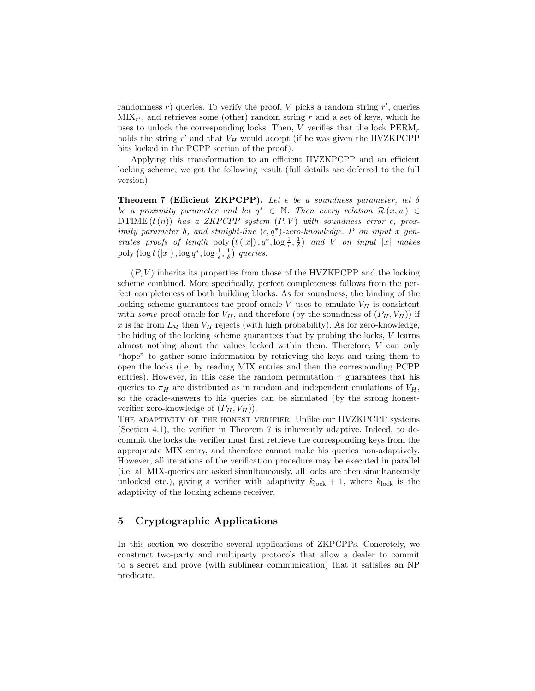randomness  $r$ ) queries. To verify the proof,  $V$  picks a random string  $r'$ , queries  $\text{MIX}_{r'}$ , and retrieves some (other) random string r and a set of keys, which he uses to unlock the corresponding locks. Then,  $V$  verifies that the lock  $PERM_r$ holds the string  $r'$  and that  $V_H$  would accept (if he was given the HVZKPCPP bits locked in the PCPP section of the proof).

Applying this transformation to an efficient HVZKPCPP and an efficient locking scheme, we get the following result (full details are deferred to the full version).

**Theorem 7 (Efficient ZKPCPP).** Let  $\epsilon$  be a soundness parameter, let  $\delta$ be a proximity parameter and let  $q^* \in \mathbb{N}$ . Then every relation  $\mathcal{R}(x, w) \in$ DTIME  $(t(n))$  has a ZKPCPP system  $(P, V)$  with soundness error  $\epsilon$ , proximity parameter  $\delta$ , and straight-line  $(\epsilon, q^*)$ -zero-knowledge. P on input x generates proofs of length poly  $(t(|x|), q^*, \log \frac{1}{\epsilon}, \frac{1}{\delta})$  and V on input |x| makes poly  $\left(\log t\left(|x|\right), \log q^*, \log \frac{1}{\epsilon}, \frac{1}{\delta}\right)$  queries.

 $(P, V)$  inherits its properties from those of the HVZKPCPP and the locking scheme combined. More specifically, perfect completeness follows from the perfect completeness of both building blocks. As for soundness, the binding of the locking scheme guarantees the proof oracle  $V$  uses to emulate  $V_H$  is consistent with some proof oracle for  $V_H$ , and therefore (by the soundness of  $(P_H, V_H)$ ) if x is far from  $L_{\mathcal{R}}$  then  $V_H$  rejects (with high probability). As for zero-knowledge, the hiding of the locking scheme guarantees that by probing the locks, V learns almost nothing about the values locked within them. Therefore, V can only "hope" to gather some information by retrieving the keys and using them to open the locks (i.e. by reading MIX entries and then the corresponding PCPP entries). However, in this case the random permutation  $\tau$  guarantees that his queries to  $\pi_H$  are distributed as in random and independent emulations of  $V_H$ , so the oracle-answers to his queries can be simulated (by the strong honestverifier zero-knowledge of  $(P_H, V_H)$ .

The adaptivity of the honest verifier. Unlike our HVZKPCPP systems (Section 4.1), the verifier in Theorem 7 is inherently adaptive. Indeed, to decommit the locks the verifier must first retrieve the corresponding keys from the appropriate MIX entry, and therefore cannot make his queries non-adaptively. However, all iterations of the verification procedure may be executed in parallel (i.e. all MIX-queries are asked simultaneously, all locks are then simultaneously unlocked etc.), giving a verifier with adaptivity  $k_{\text{lock}} + 1$ , where  $k_{\text{lock}}$  is the adaptivity of the locking scheme receiver.

## 5 Cryptographic Applications

In this section we describe several applications of ZKPCPPs. Concretely, we construct two-party and multiparty protocols that allow a dealer to commit to a secret and prove (with sublinear communication) that it satisfies an NP predicate.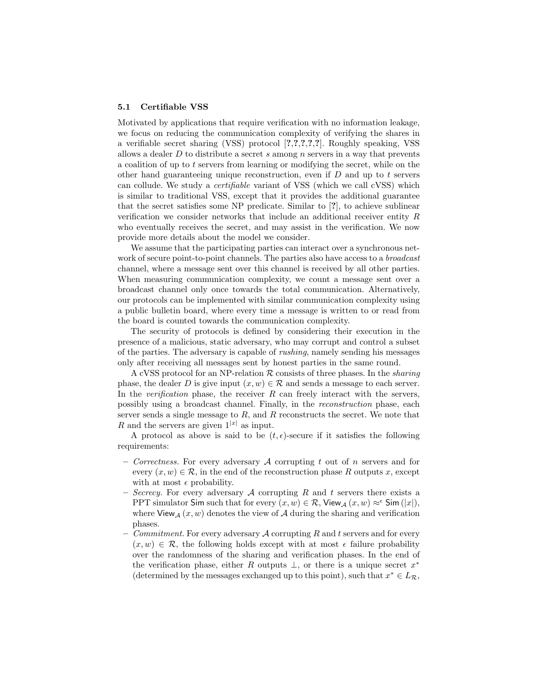#### 5.1 Certifiable VSS

Motivated by applications that require verification with no information leakage, we focus on reducing the communication complexity of verifying the shares in a verifiable secret sharing (VSS) protocol [?,?,?,?,?]. Roughly speaking, VSS allows a dealer  $D$  to distribute a secret s among n servers in a way that prevents a coalition of up to t servers from learning or modifying the secret, while on the other hand guaranteeing unique reconstruction, even if  $D$  and up to t servers can collude. We study a certifiable variant of VSS (which we call cVSS) which is similar to traditional VSS, except that it provides the additional guarantee that the secret satisfies some NP predicate. Similar to [?], to achieve sublinear verification we consider networks that include an additional receiver entity R who eventually receives the secret, and may assist in the verification. We now provide more details about the model we consider.

We assume that the participating parties can interact over a synchronous network of secure point-to-point channels. The parties also have access to a *broadcast* channel, where a message sent over this channel is received by all other parties. When measuring communication complexity, we count a message sent over a broadcast channel only once towards the total communication. Alternatively, our protocols can be implemented with similar communication complexity using a public bulletin board, where every time a message is written to or read from the board is counted towards the communication complexity.

The security of protocols is defined by considering their execution in the presence of a malicious, static adversary, who may corrupt and control a subset of the parties. The adversary is capable of rushing, namely sending his messages only after receiving all messages sent by honest parties in the same round.

A cVSS protocol for an NP-relation  $R$  consists of three phases. In the *sharing* phase, the dealer D is give input  $(x, w) \in \mathcal{R}$  and sends a message to each server. In the *verification* phase, the receiver  $R$  can freely interact with the servers, possibly using a broadcast channel. Finally, in the reconstruction phase, each server sends a single message to  $R$ , and  $R$  reconstructs the secret. We note that R and the servers are given  $1^{|x|}$  as input.

A protocol as above is said to be  $(t, \epsilon)$ -secure if it satisfies the following requirements:

- Correctness. For every adversary A corrupting t out of n servers and for every  $(x, w) \in \mathcal{R}$ , in the end of the reconstruction phase R outputs x, except with at most  $\epsilon$  probability.
- Secrecy. For every adversary A corrupting R and t servers there exists a PPT simulator Sim such that for every  $(x, w) \in \mathcal{R}$ , View<sub>A</sub>  $(x, w) \approx^{\epsilon}$  Sim  $(|x|)$ , where View<sub>A</sub>  $(x, w)$  denotes the view of A during the sharing and verification phases.
- $-$  Commitment. For every adversary A corrupting R and t servers and for every  $(x, w) \in \mathcal{R}$ , the following holds except with at most  $\epsilon$  failure probability over the randomness of the sharing and verification phases. In the end of the verification phase, either R outputs  $\bot$ , or there is a unique secret  $x^*$ (determined by the messages exchanged up to this point), such that  $x^* \in L_{\mathcal{R}}$ ,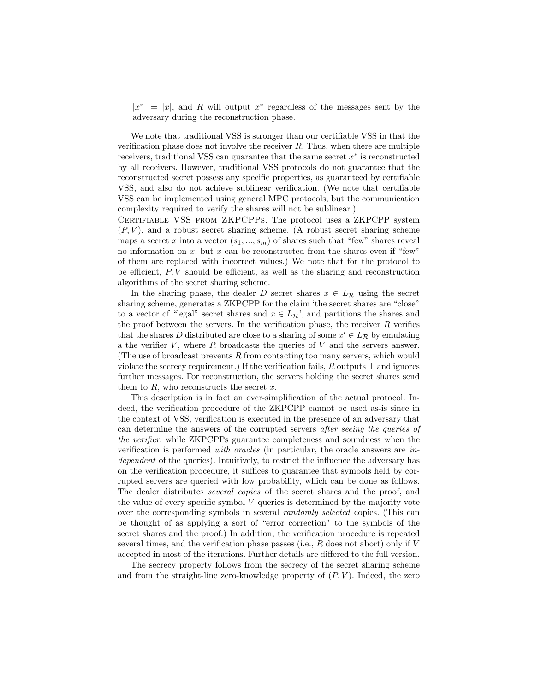$|x^*| = |x|$ , and R will output  $x^*$  regardless of the messages sent by the adversary during the reconstruction phase.

We note that traditional VSS is stronger than our certifiable VSS in that the verification phase does not involve the receiver  $R$ . Thus, when there are multiple receivers, traditional VSS can guarantee that the same secret  $x^*$  is reconstructed by all receivers. However, traditional VSS protocols do not guarantee that the reconstructed secret possess any specific properties, as guaranteed by certifiable VSS, and also do not achieve sublinear verification. (We note that certifiable VSS can be implemented using general MPC protocols, but the communication complexity required to verify the shares will not be sublinear.)

Certifiable VSS from ZKPCPPs. The protocol uses a ZKPCPP system  $(P, V)$ , and a robust secret sharing scheme. (A robust secret sharing scheme maps a secret x into a vector  $(s_1, ..., s_m)$  of shares such that "few" shares reveal no information on x, but x can be reconstructed from the shares even if "few" of them are replaced with incorrect values.) We note that for the protocol to be efficient,  $P, V$  should be efficient, as well as the sharing and reconstruction algorithms of the secret sharing scheme.

In the sharing phase, the dealer D secret shares  $x \in L_R$  using the secret sharing scheme, generates a ZKPCPP for the claim 'the secret shares are "close" to a vector of "legal" secret shares and  $x \in L_{\mathcal{R}}$ ", and partitions the shares and the proof between the servers. In the verification phase, the receiver  $R$  verifies that the shares D distributed are close to a sharing of some  $x' \in L_{\mathcal{R}}$  by emulating a the verifier  $V$ , where  $R$  broadcasts the queries of  $V$  and the servers answer. (The use of broadcast prevents  $R$  from contacting too many servers, which would violate the secrecy requirement.) If the verification fails, R outputs  $\perp$  and ignores further messages. For reconstruction, the servers holding the secret shares send them to  $R$ , who reconstructs the secret  $x$ .

This description is in fact an over-simplification of the actual protocol. Indeed, the verification procedure of the ZKPCPP cannot be used as-is since in the context of VSS, verification is executed in the presence of an adversary that can determine the answers of the corrupted servers after seeing the queries of the verifier, while ZKPCPPs guarantee completeness and soundness when the verification is performed with oracles (in particular, the oracle answers are independent of the queries). Intuitively, to restrict the influence the adversary has on the verification procedure, it suffices to guarantee that symbols held by corrupted servers are queried with low probability, which can be done as follows. The dealer distributes several copies of the secret shares and the proof, and the value of every specific symbol  $V$  queries is determined by the majority vote over the corresponding symbols in several randomly selected copies. (This can be thought of as applying a sort of "error correction" to the symbols of the secret shares and the proof.) In addition, the verification procedure is repeated several times, and the verification phase passes (i.e.,  $R$  does not abort) only if  $V$ accepted in most of the iterations. Further details are differed to the full version.

The secrecy property follows from the secrecy of the secret sharing scheme and from the straight-line zero-knowledge property of  $(P, V)$ . Indeed, the zero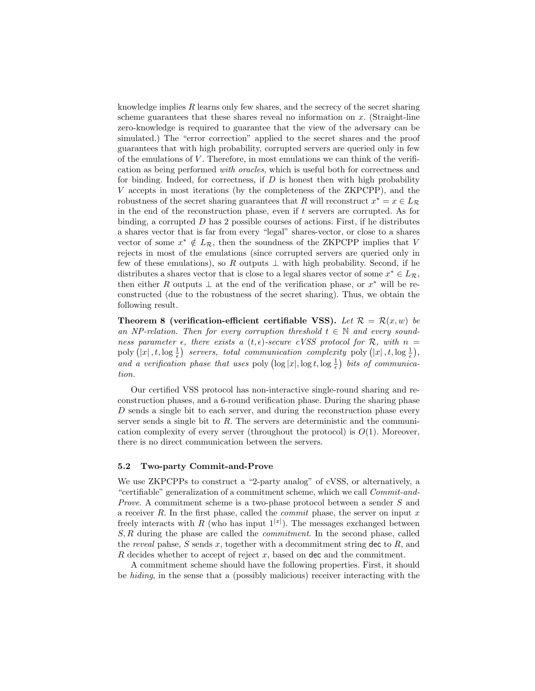knowledge implies  $R$  learns only few shares, and the secrecy of the secret sharing scheme guarantees that these shares reveal no information on  $x$ . (Straight-line zero-knowledge is required to guarantee that the view of the adversary can be simulated.) The "error correction" applied to the secret shares and the proof guarantees that with high probability, corrupted servers are queried only in few of the emulations of  $V$ . Therefore, in most emulations we can think of the verification as being performed with oracles, which is useful both for correctness and for binding. Indeed, for correctness, if  $D$  is honest then with high probability V accepts in most iterations (by the completeness of the ZKPCPP), and the robustness of the secret sharing guarantees that R will reconstruct  $x^* = x \in L_{\mathcal{R}}$ in the end of the reconstruction phase, even if  $t$  servers are corrupted. As for binding, a corrupted  $D$  has 2 possible courses of actions. First, if he distributes a shares vector that is far from every "legal" shares-vector, or close to a shares vector of some  $x^* \notin L_{\mathcal{R}}$ , then the soundness of the ZKPCPP implies that V rejects in most of the emulations (since corrupted servers are queried only in few of these emulations), so R outputs  $\perp$  with high probability. Second, if he distributes a shares vector that is close to a legal shares vector of some  $x^* \in L_{\mathcal{R}}$ , then either R outputs  $\perp$  at the end of the verification phase, or  $x^*$  will be reconstructed (due to the robustness of the secret sharing). Thus, we obtain the following result.

Theorem 8 (verification-efficient certifiable VSS). Let  $\mathcal{R} = \mathcal{R}(x, w)$  be an NP-relation. Then for every corruption threshold  $t \in \mathbb{N}$  and every soundness parameter  $\epsilon$ , there exists a  $(t, \epsilon)$ -secure cVSS protocol for R, with  $n =$ poly  $(|x|, t, \log \frac{1}{\epsilon})$  servers, total communication complexity poly  $(|x|, t, \log \frac{1}{\epsilon})$ , and a verification phase that uses poly  $\left(\log |x|, \log t, \log \frac{1}{\epsilon}\right)$  bits of communication.

Our certified VSS protocol has non-interactive single-round sharing and reconstruction phases, and a 6-round verification phase. During the sharing phase D sends a single bit to each server, and during the reconstruction phase every server sends a single bit to  $R$ . The servers are deterministic and the communication complexity of every server (throughout the protocol) is  $O(1)$ . Moreover, there is no direct communication between the servers.

## 5.2 Two-party Commit-and-Prove

We use ZKPCPPs to construct a "2-party analog" of cVSS, or alternatively, a "certifiable" generalization of a commitment scheme, which we call Commit-and-Prove. A commitment scheme is a two-phase protocol between a sender S and a receiver R. In the first phase, called the *commit* phase, the server on input  $x$ freely interacts with R (who has input  $1^{|x|}$ ). The messages exchanged between S, R during the phase are called the commitment. In the second phase, called the reveal pahse,  $S$  sends  $x$ , together with a decommitment string dec to  $R$ , and R decides whether to accept of reject x, based on dec and the commitment.

A commitment scheme should have the following properties. First, it should be hiding, in the sense that a (possibly malicious) receiver interacting with the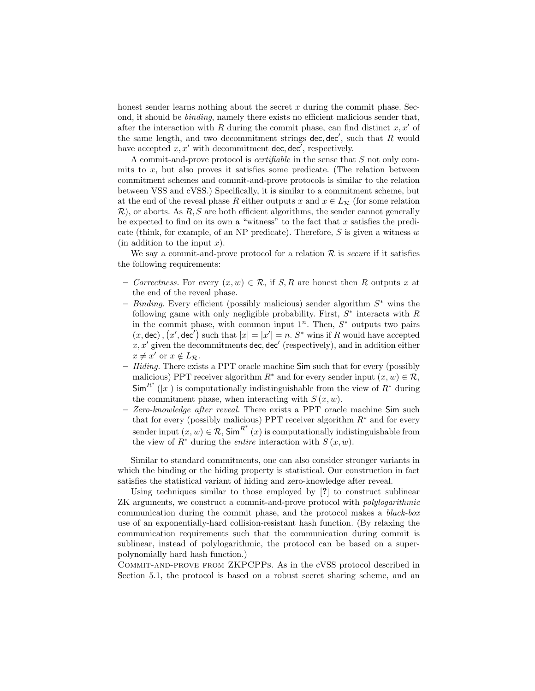honest sender learns nothing about the secret  $x$  during the commit phase. Second, it should be binding, namely there exists no efficient malicious sender that, after the interaction with R during the commit phase, can find distinct  $x, x'$  of the same length, and two decommitment strings  $dec, dec',$  such that  $R$  would have accepted  $x, x'$  with decommitment dec, dec', respectively.

A commit-and-prove protocol is certifiable in the sense that S not only commits to  $x$ , but also proves it satisfies some predicate. (The relation between commitment schemes and commit-and-prove protocols is similar to the relation between VSS and cVSS.) Specifically, it is similar to a commitment scheme, but at the end of the reveal phase R either outputs x and  $x \in L_{\mathcal{R}}$  (for some relation  $\mathcal{R}$ ), or aborts. As  $R, S$  are both efficient algorithms, the sender cannot generally be expected to find on its own a "witness" to the fact that  $x$  satisfies the predicate (think, for example, of an NP predicate). Therefore, S is given a witness  $w$ (in addition to the input  $x$ ).

We say a commit-and-prove protocol for a relation  $R$  is *secure* if it satisfies the following requirements:

- Correctness. For every  $(x, w) \in \mathcal{R}$ , if S, R are honest then R outputs x at the end of the reveal phase.
- $-$  Binding. Every efficient (possibly malicious) sender algorithm  $S^*$  wins the following game with only negligible probability. First,  $S^*$  interacts with R in the commit phase, with common input  $1<sup>n</sup>$ . Then,  $S^*$  outputs two pairs  $(x, \text{dec})$ ,  $(x', \text{dec}')$  such that  $|x| = |x'| = n$ . S<sup>\*</sup> wins if R would have accepted  $x, x'$  given the decommitments dec, dec' (respectively), and in addition either  $x \neq x'$  or  $x \notin L_{\mathcal{R}}$ .
- $-$  Hiding. There exists a PPT oracle machine Sim such that for every (possibly malicious) PPT receiver algorithm  $R^*$  and for every sender input  $(x, w) \in \mathcal{R}$ ,  $\textsf{Sim}^{R^*}(|x|)$  is computationally indistinguishable from the view of  $R^*$  during the commitment phase, when interacting with  $S(x, w)$ .
- $-$  Zero-knowledge after reveal. There exists a PPT oracle machine Sim such that for every (possibly malicious) PPT receiver algorithm  $R^*$  and for every sender input  $(x, w) \in \mathcal{R}$ , Sim<sup>R\*</sup> (x) is computationally indistinguishable from the view of  $R^*$  during the *entire* interaction with  $S(x, w)$ .

Similar to standard commitments, one can also consider stronger variants in which the binding or the hiding property is statistical. Our construction in fact satisfies the statistical variant of hiding and zero-knowledge after reveal.

Using techniques similar to those employed by [?] to construct sublinear ZK arguments, we construct a commit-and-prove protocol with polylogarithmic communication during the commit phase, and the protocol makes a black-box use of an exponentially-hard collision-resistant hash function. (By relaxing the communication requirements such that the communication during commit is sublinear, instead of polylogarithmic, the protocol can be based on a superpolynomially hard hash function.)

Commit-and-prove from ZKPCPPs. As in the cVSS protocol described in Section 5.1, the protocol is based on a robust secret sharing scheme, and an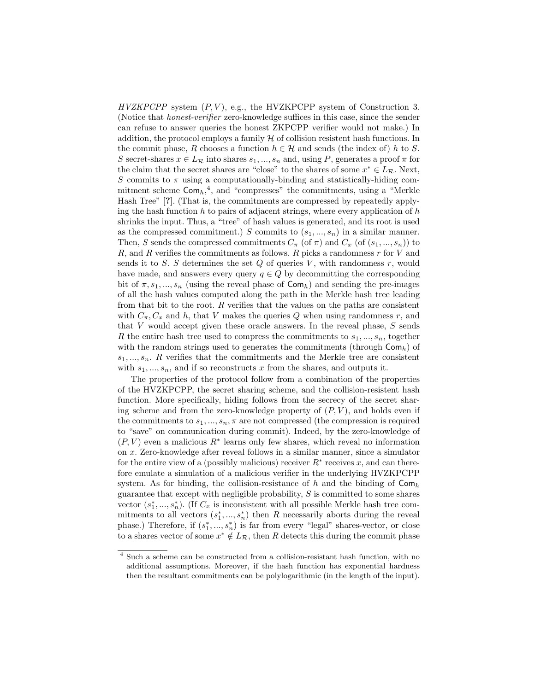$HVZKPCPP$  system  $(P, V)$ , e.g., the HVZKPCPP system of Construction 3. (Notice that honest-verifier zero-knowledge suffices in this case, since the sender can refuse to answer queries the honest ZKPCPP verifier would not make.) In addition, the protocol employs a family  $H$  of collision resistent hash functions. In the commit phase, R chooses a function  $h \in \mathcal{H}$  and sends (the index of) h to S. S secret-shares  $x \in L_{\mathcal{R}}$  into shares  $s_1, ..., s_n$  and, using P, generates a proof  $\pi$  for the claim that the secret shares are "close" to the shares of some  $x^* \in L_{\mathcal{R}}$ . Next, S commits to  $\pi$  using a computationally-binding and statistically-hiding commitment scheme  $\textsf{Com}_h$ <sup>4</sup>, and "compresses" the commitments, using a "Merkle Hash Tree" [?]. (That is, the commitments are compressed by repeatedly applying the hash function  $h$  to pairs of adjacent strings, where every application of  $h$ shrinks the input. Thus, a "tree" of hash values is generated, and its root is used as the compressed commitment.) S commits to  $(s_1, ..., s_n)$  in a similar manner. Then, S sends the compressed commitments  $C_{\pi}$  (of  $\pi$ ) and  $C_{x}$  (of  $(s_1, ..., s_n)$ ) to R, and R verifies the commitments as follows. R picks a randomness  $r$  for V and sends it to  $S$ .  $S$  determines the set  $Q$  of queries  $V$ , with randomness  $r$ , would have made, and answers every query  $q \in Q$  by decommitting the corresponding bit of  $\pi, s_1, ..., s_n$  (using the reveal phase of  $\text{Com}_h$ ) and sending the pre-images of all the hash values computed along the path in the Merkle hash tree leading from that bit to the root.  $R$  verifies that the values on the paths are consistent with  $C_{\pi}$ ,  $C_{x}$  and h, that V makes the queries Q when using randomness r, and that  $V$  would accept given these oracle answers. In the reveal phase,  $S$  sends R the entire hash tree used to compress the commitments to  $s_1, ..., s_n$ , together with the random strings used to generates the commitments (through  $\mathsf{Com}_h$ ) of  $s_1, ..., s_n$ . R verifies that the commitments and the Merkle tree are consistent with  $s_1, ..., s_n$ , and if so reconstructs x from the shares, and outputs it.

The properties of the protocol follow from a combination of the properties of the HVZKPCPP, the secret sharing scheme, and the collision-resistent hash function. More specifically, hiding follows from the secrecy of the secret sharing scheme and from the zero-knowledge property of  $(P, V)$ , and holds even if the commitments to  $s_1, ..., s_n, \pi$  are not compressed (the compression is required to "save" on communication during commit). Indeed, by the zero-knowledge of  $(P, V)$  even a malicious  $R^*$  learns only few shares, which reveal no information on x. Zero-knowledge after reveal follows in a similar manner, since a simulator for the entire view of a (possibly malicious) receiver  $R^*$  receives x, and can therefore emulate a simulation of a malicious verifier in the underlying HVZKPCPP system. As for binding, the collision-resistance of h and the binding of  $\mathsf{Com}_h$ guarantee that except with negligible probability,  $S$  is committed to some shares vector  $(s_1^*,...,s_n^*)$ . (If  $C_x$  is inconsistent with all possible Merkle hash tree commitments to all vectors  $(s_1^*,...,s_n^*)$  then R necessarily aborts during the reveal phase.) Therefore, if  $(s_1^*,...,s_n^*)$  is far from every "legal" shares-vector, or close to a shares vector of some  $x^* \notin L_{\mathcal{R}}$ , then R detects this during the commit phase

 $^4$  Such a scheme can be constructed from a collision-resistant hash function, with no additional assumptions. Moreover, if the hash function has exponential hardness then the resultant commitments can be polylogarithmic (in the length of the input).